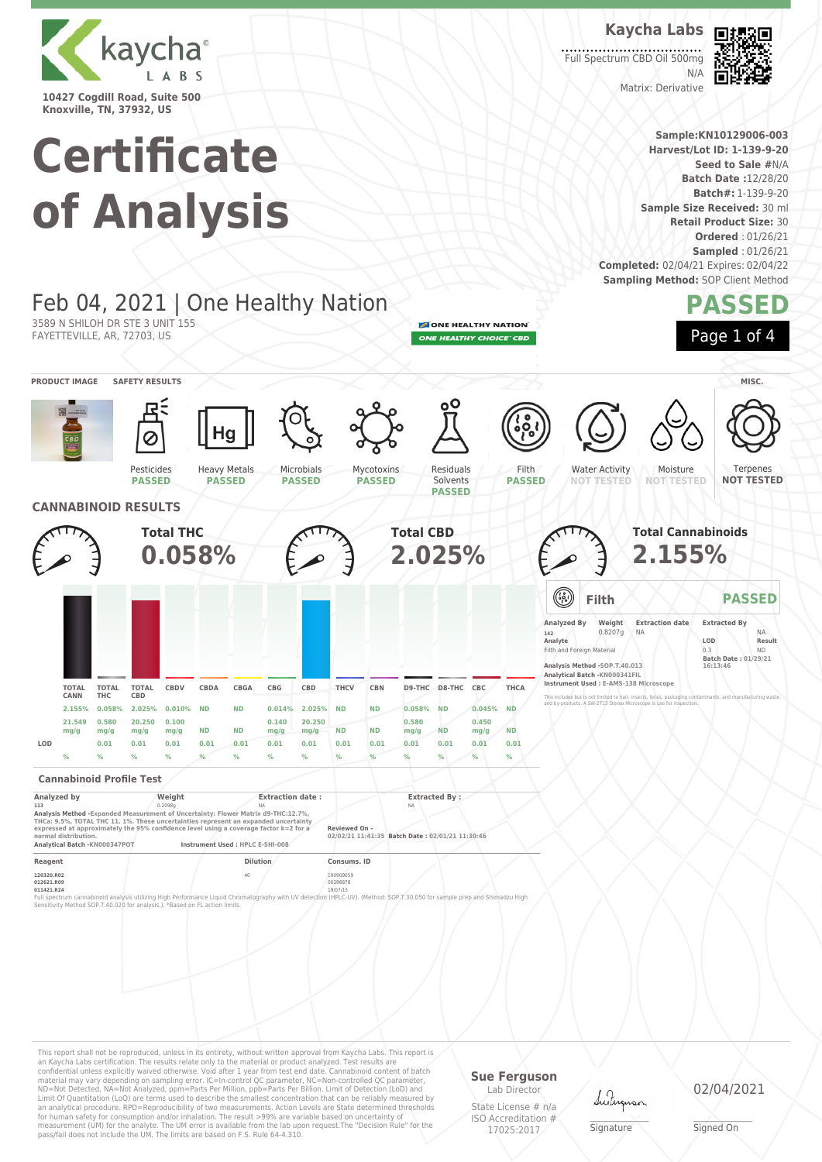

**Knoxville, TN, 37932, US**

3589 N SHILOH DR STE 3 UNIT 155 FAYETTEVILLE, AR, 72703, US

# **Certificate of Analysis**

Feb 04, 2021 | One Healthy Nation

**Kaycha Labs** Full Spectrum CBD Oil 500mg



**Sample:KN10129006-003 Harvest/Lot ID: 1-139-9-20 Seed to Sale #**N/A **Batch Date :**12/28/20 **Batch#:** 1-139-9-20 **Sample Size Received:** 30 ml **Retail Product Size:** 30 **Ordered** : 01/26/21 **Sampled** : 01/26/21

N/A

Matrix: Derivative

**Completed:** 02/04/21 Expires: 02/04/22 **Sampling Method: SOP Client Method** 

### **PASSED** Page 1 of 4

ONE HEALTHY NATION ONE HEALTHY CHOICE" CBD



**PRODUCT IMAGE SAFETY RESULTS MISC.**



### **Cannabinoid Profile Test**

| Analyzed by                                                                                                                                                                                                                                                                                                                 | Weight  | <b>Extraction date:</b>          | <b>Extracted By:</b>                                             |  |
|-----------------------------------------------------------------------------------------------------------------------------------------------------------------------------------------------------------------------------------------------------------------------------------------------------------------------------|---------|----------------------------------|------------------------------------------------------------------|--|
| 113                                                                                                                                                                                                                                                                                                                         | 0.2098a | <b>NA</b>                        | <b>NA</b>                                                        |  |
| Analysis Method - Expanded Measurement of Uncertainty: Flower Matrix d9-THC:12.7%.<br>THCa: 9.5%, TOTAL THC 11, 1%. These uncertainties represent an expanded uncertainty<br>expressed at approximately the 95% confidence level using a coverage factor k=2 for a<br>normal distribution.<br>Analytical Batch -KN000347POT |         | Instrument Used : HPLC E-SHI-008 | Reviewed On -<br>02/02/21 11:41:35 Batch Date: 02/01/21 11:30:46 |  |
|                                                                                                                                                                                                                                                                                                                             |         |                                  |                                                                  |  |
| Reagent                                                                                                                                                                                                                                                                                                                     |         | <b>Dilution</b>                  | Consums, ID                                                      |  |
|                                                                                                                                                                                                                                                                                                                             |         |                                  |                                                                  |  |

**120320.R02** 190909059 190909059 190909059 190909059 190909059 190909059 190909059 190909059 190909059 190909059 **012621.R09** 00298878 **011421.R24** 19/07/15 Full spectrum cannabinoid analysis utilizing High Performance Liquid Chromatography with UV detection (HPLC-UV). (Method: SOP,T.30.050 for sample prep and Shimadzu High<br>Sensitivity Method SOP.T-40.020 for analysis.). "Base

This report shall not be reproduced, unless in its entirety, without written approval from Kaycha Labs. This report is an Kaycha Labs certification. The results relate only to the material or product analyzed. Test results are<br>confidential unless explicitly waived otherwise. Void after 1 year from test end date. Cannabinoid content of bat Limit Of Quantitation (LoQ) are terms used to describe the smallest concentration that can be reliably measured by an analytical procedure. RPD=Reproducibility of two measurements. Action Levels are State determined thresholds for human safety for consumption and/or inhalation. The result >99% are variable based on uncertainty of measurement (UM) for the analyte. The UM error is available from the lab upon request.The "Decision Rule" for the pass/fail does not include the UM. The limits are based on F.S. Rule 64-4.310.

#### **Sue Ferguson** Lab Director

State License # n/a ISO Accreditation # 17025:2017

Lutus

\_\_\_\_\_\_\_\_\_\_\_\_\_\_\_\_\_\_\_ Signature

02/04/2021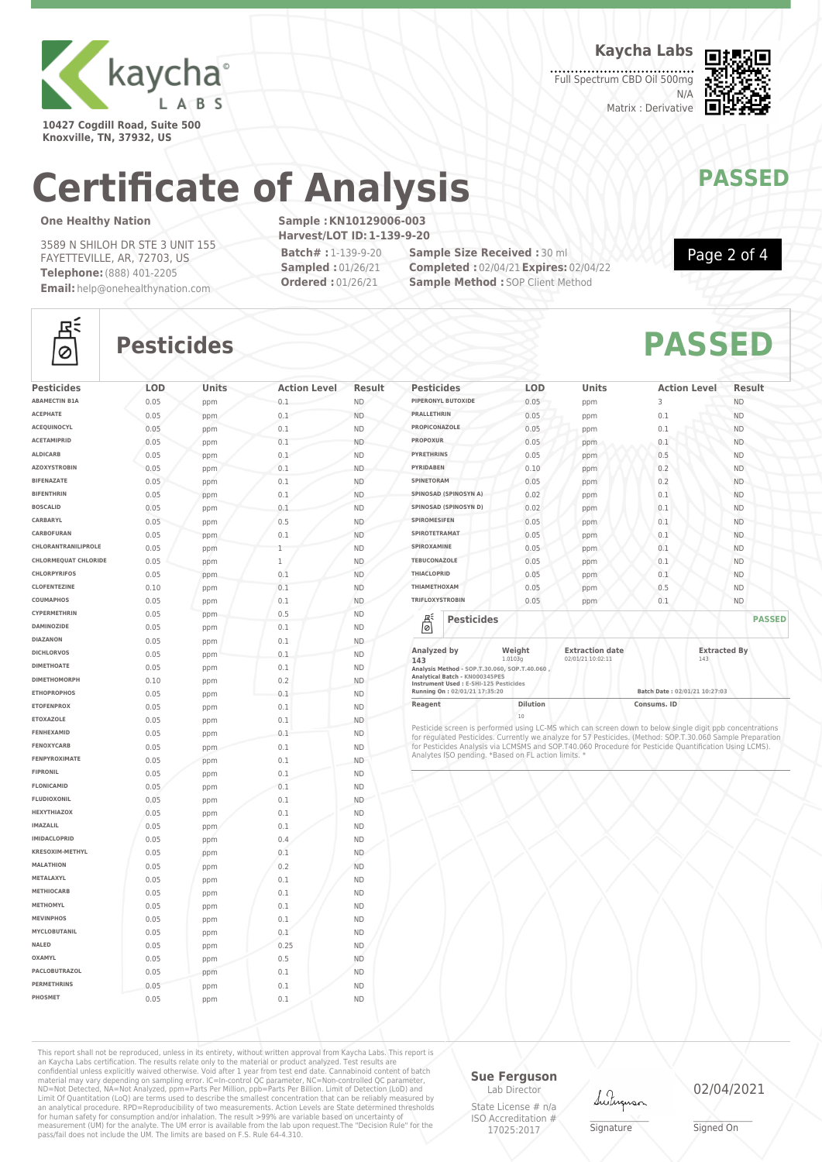

**10427 Cogdill Road, Suite 500 Knoxville, TN, 37932, US**

**Kaycha Labs**

Full Spectrum CBD Oil 500mg N/A Matrix : Derivative



# **Certificate of Analysis MANAWAPASSED**

### **One Healthy Nation**

3589 N SHILOH DR STE 3 UNIT 155 FAYETTEVILLE, AR, 72703, US **Telephone:**(888) 401-2205 **Email:** help@onehealthynation.com **Sample :KN10129006-003 Harvest/LOT ID:1-139-9-20 Batch# :** 1-139-9-20 **Sampled :** 01/26/21

**Ordered :** 01/26/21

**Sample Size Received :** 30 ml **Completed :** 02/04/21**Expires:** 02/04/22 **Sample Method : SOP Client Method** 



### 조  $\circ$

## **Pesticides PASSED**

| <b>Pesticides</b>           | LOD  | Units | <b>Action Level</b> | <b>Result</b> |
|-----------------------------|------|-------|---------------------|---------------|
| <b>ABAMECTIN B1A</b>        | 0.05 | ppm   | 0.1                 | ND.           |
| <b>ACEPHATE</b>             | 0.05 | ppm   | 0.1                 | <b>ND</b>     |
| ACEQUINOCYL                 | 0.05 | ppm   | 0.1                 | <b>ND</b>     |
| <b>ACETAMIPRID</b>          | 0.05 | ppm   | 0.1                 | <b>ND</b>     |
| <b>ALDICARB</b>             | 0.05 | ppm   | 0.1                 | <b>ND</b>     |
| <b>AZOXYSTROBIN</b>         | 0.05 | ppm   | 0.1                 | <b>ND</b>     |
| <b>BIFENAZATE</b>           | 0.05 | ppm   | 0.1                 | <b>ND</b>     |
| <b>BIFENTHRIN</b>           | 0.05 | ppm   | 0.1                 | <b>ND</b>     |
| <b>BOSCALID</b>             | 0.05 | ppm   | 0.1                 | <b>ND</b>     |
| CARBARYL                    | 0.05 | ppm   | 0.5                 | <b>ND</b>     |
| CARBOFURAN                  | 0.05 | ppm   | 0.1                 | <b>ND</b>     |
| CHLORANTRANILIPROLE         | 0.05 | ppm   | 1                   | <b>ND</b>     |
| <b>CHLORMEQUAT CHLORIDE</b> | 0.05 | ppm   | $\mathbf 1$         | ND.           |
| <b>CHLORPYRIFOS</b>         | 0.05 | ppm   | 0.1                 | <b>ND</b>     |
| <b>CLOFENTEZINE</b>         | 0.10 | ppm   | 0.1                 | <b>ND</b>     |
| COUMAPHOS                   | 0.05 | ppm   | 0.1                 | <b>ND</b>     |
| CYPERMETHRIN                | 0.05 | ppm   | 0.5                 | <b>ND</b>     |
| <b>DAMINOZIDE</b>           | 0.05 | ppm   | 0.1                 | <b>ND</b>     |
| <b>DIAZANON</b>             | 0.05 | ppm   | 0.1                 | <b>ND</b>     |
| <b>DICHLORVOS</b>           | 0.05 | ppm   | 0.1                 | <b>ND</b>     |
| <b>DIMETHOATE</b>           | 0.05 | ppm   | 0.1                 | <b>ND</b>     |
| <b>DIMETHOMORPH</b>         | 0.10 | ppm   | 0.2                 | <b>ND</b>     |
| <b>ETHOPROPHOS</b>          | 0.05 | ppm   | 0.1                 | <b>ND</b>     |
| <b>ETOFENPROX</b>           | 0.05 | ppm   | 0.1                 | <b>ND</b>     |
| <b>ETOXAZOLE</b>            | 0.05 | ppm   | 0.1                 | <b>ND</b>     |
| FENHEXAMID                  | 0.05 | ppm   | 0.1                 | <b>ND</b>     |
| FENOXYCARB                  | 0.05 | ppm   | 0.1                 | <b>ND</b>     |
| FENPYROXIMATE               | 0.05 | ppm   | 0.1                 | <b>ND</b>     |
| <b>FIPRONIL</b>             | 0.05 | ppm   | 0.1                 | <b>ND</b>     |
| <b>FLONICAMID</b>           | 0.05 | ppm   | 0.1                 | <b>ND</b>     |
| <b>FLUDIOXONIL</b>          | 0.05 | ppm   | 0.1                 | <b>ND</b>     |
| <b>HEXYTHIAZOX</b>          | 0.05 | ppm   | 0.1                 | <b>ND</b>     |
| <b>IMAZALIL</b>             | 0.05 | ppm   | 0.1                 | <b>ND</b>     |
| <b>IMIDACLOPRID</b>         | 0.05 | ppm   | 0.4                 | <b>ND</b>     |
| KRESOXIM-METHYL             | 0.05 | ppm   | 0.1                 | <b>ND</b>     |
| <b>MALATHION</b>            | 0.05 | ppm   | 0.2                 | <b>ND</b>     |
| METALAXYL                   | 0.05 | ppm   | 0.1                 | <b>ND</b>     |
| <b>METHIOCARB</b>           | 0.05 | ppm   | 0.1                 | <b>ND</b>     |
| <b>METHOMYL</b>             | 0.05 | ppm   | 0.1                 | <b>ND</b>     |
| <b>MEVINPHOS</b>            | 0.05 | ppm   | 0.1                 | <b>ND</b>     |
| MYCLOBUTANIL                | 0.05 | ppm   | 0.1                 | <b>ND</b>     |
| NALED                       | 0.05 | ppm   | 0.25                | <b>ND</b>     |
| OXAMYL                      | 0.05 | ppm   | 0.5                 | <b>ND</b>     |
| PACLOBUTRAZOL               | 0.05 | ppm   | 0.1                 | <b>ND</b>     |
| <b>PERMETHRINS</b>          | 0.05 | ppm   | 0.1                 | <b>ND</b>     |
| PHOSMET                     | 0.05 | ppm   | 0.1                 | <b>ND</b>     |

| <b>Pesticides</b>                                                                                        | <b>LOD</b>        | <b>Units</b>                                | <b>Action Level</b> | Result              |
|----------------------------------------------------------------------------------------------------------|-------------------|---------------------------------------------|---------------------|---------------------|
| PIPERONYL BUTOXIDE                                                                                       | 0.05              | ppm                                         | 3                   | <b>ND</b>           |
| <b>PRALLETHRIN</b>                                                                                       | 0.05              | ppm                                         | 0.1                 | <b>ND</b>           |
| PROPICONAZOLE                                                                                            | 0.05              | ppm                                         | 0.1                 | <b>ND</b>           |
| <b>PROPOXUR</b>                                                                                          | 0.05              | ppm                                         | 0.1                 | <b>ND</b>           |
| <b>PYRETHRINS</b>                                                                                        | 0.05              | ppm                                         | 0.5                 | <b>ND</b>           |
| <b>PYRIDABEN</b>                                                                                         | 0.10              | ppm                                         | 0.2                 | <b>ND</b>           |
| SPINETORAM                                                                                               | 0.05              | ppm                                         | 0.2                 | <b>ND</b>           |
| SPINOSAD (SPINOSYN A)                                                                                    | 0.02              | ppm                                         | 0.1                 | <b>ND</b>           |
| SPINOSAD (SPINOSYN D)                                                                                    | 0.02              | ppm                                         | 0.1                 | <b>ND</b>           |
| <b>SPIROMESIFEN</b>                                                                                      | 0.05              | ppm                                         | 0.1                 | <b>ND</b>           |
| <b>SPIROTETRAMAT</b>                                                                                     | 0.05              | ppm                                         | 0.1                 | <b>ND</b>           |
| SPIROXAMINE                                                                                              | 0.05              | ppm                                         | 0.1                 | <b>ND</b>           |
| <b>TEBUCONAZOLE</b>                                                                                      | 0.05              | ppm                                         | 0.1                 | <b>ND</b>           |
| <b>THIACLOPRID</b>                                                                                       | 0.05              | ppm                                         | 0.1                 | <b>ND</b>           |
| THIAMETHOXAM                                                                                             | 0.05              | ppm                                         | 0.5                 | <b>ND</b>           |
| <b>TRIFLOXYSTROBIN</b>                                                                                   | 0.05              | ppm                                         | 0.1                 | <b>ND</b>           |
| 뵎<br><b>Pesticides</b>                                                                                   |                   |                                             |                     | <b>PASSED</b>       |
| Analyzed by<br>143<br>Analysis Method - SOP.T.30.060, SOP.T.40.060,<br>Application   Botch   MIGGORAEDEC | Weight<br>1.0103g | <b>Extraction date</b><br>02/01/21 10:02:11 | 143                 | <b>Extracted By</b> |

**Analytical Batch - KN000345PES Instrument Used : E-SHI-125 Pesticides**

**Running On : 02/01/21 17:35:20 Batch Date : 02/01/21 10:27:03**

**Reagent Dilution Dilution Consums. ID** 

20<br>Pesticide screen is performed using LC-MS which can screen down to below single digit ppb concentrations<br>for regulated Pesticides. Currently we analyze for 57 Pesticides. (Method: SOP.T.30.060 Sample Preparation<br>for Pes

This report shall not be reproduced, unless in its entirety, without written approval from Kaycha Labs. This report is an Kaycha Labs certification. The results relate only to the material or product analyzed. Test results are<br>confidential unless explicitly waived otherwise. Void after 1 year from test end date. Cannabinoid content of batc

### **Sue Ferguson**

Lab Director State License # n/a ISO Accreditation # 17025:2017

Lutun

\_\_\_\_\_\_\_\_\_\_\_\_\_\_\_\_\_\_\_ Signature

02/04/2021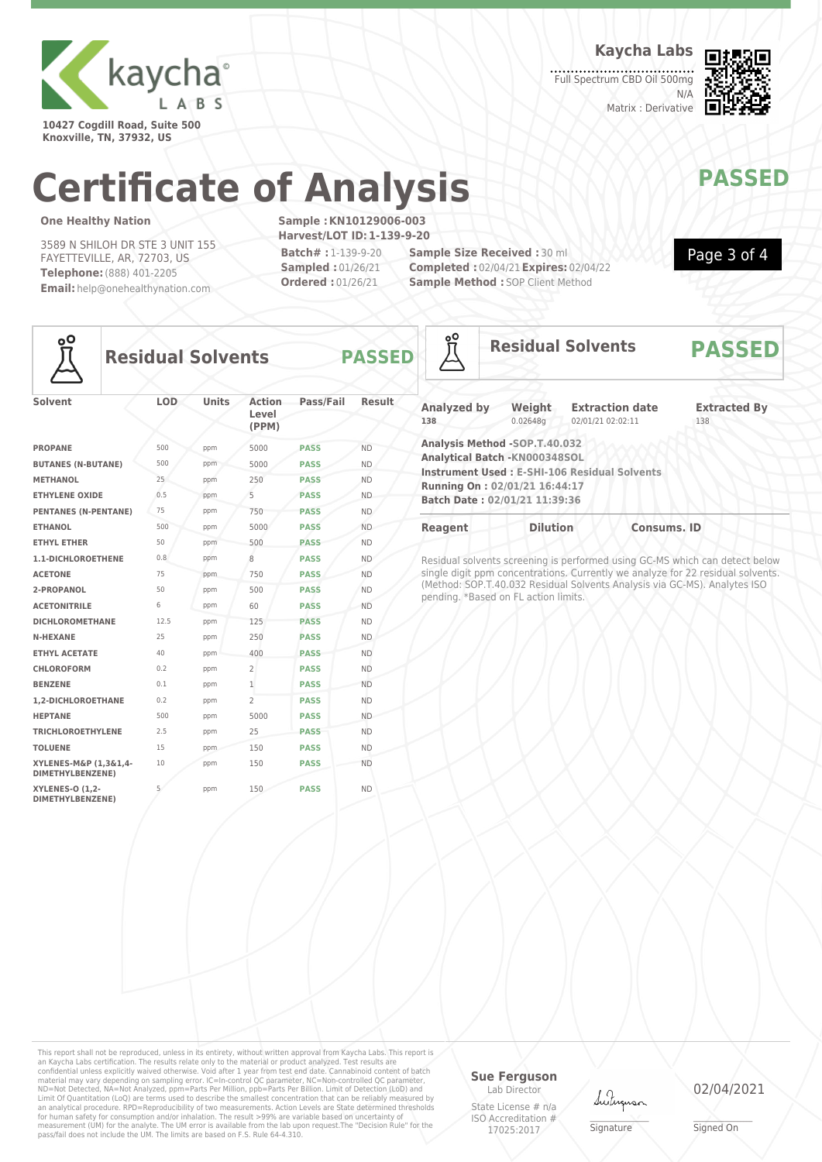

**10427 Cogdill Road, Suite 500 Knoxville, TN, 37932, US**

**Kaycha Labs**

Full Spectrum CBD Oil 500mg N/A Matrix : Derivative



Page 3 of 4

# **Certificate of Analysis MANAWAPASSED**

### **One Healthy Nation**

3589 N SHILOH DR STE 3 UNIT 155 FAYETTEVILLE, AR, 72703, US **Telephone:**(888) 401-2205 **Email:** help@onehealthynation.com **Sample :KN10129006-003 Harvest/LOT ID:1-139-9-20 Batch# :** 1-139-9-20 **Sampled :** 01/26/21 **Ordered :** 01/26/21

**Sample Size Received :** 30 ml **Completed :** 02/04/21**Expires:** 02/04/22 **Sample Method : SOP Client Method** 



### **Residual Solvents PASSED**

| <b>Solvent</b>                             | LOD  | <b>Units</b> | <b>Action</b><br>Level<br>(PPM) | Pass/Fail   | Result    |
|--------------------------------------------|------|--------------|---------------------------------|-------------|-----------|
| <b>PROPANE</b>                             | 500  | ppm          | 5000                            | <b>PASS</b> | <b>ND</b> |
| <b>BUTANES (N-BUTANE)</b>                  | 500  | ppm          | 5000                            | <b>PASS</b> | <b>ND</b> |
| <b>METHANOL</b>                            | 25   | ppm          | 250                             | <b>PASS</b> | <b>ND</b> |
| <b>ETHYLENE OXIDE</b>                      | 0.5  | ppm          | 5                               | <b>PASS</b> | <b>ND</b> |
| <b>PENTANES (N-PENTANE)</b>                | 75   | ppm          | 750                             | <b>PASS</b> | <b>ND</b> |
| <b>ETHANOL</b>                             | 500  | ppm          | 5000                            | <b>PASS</b> | <b>ND</b> |
| <b>ETHYL ETHER</b>                         | 50   | ppm          | 500                             | <b>PASS</b> | <b>ND</b> |
| 1.1-DICHLOROETHENE                         | 0.8  | ppm          | 8                               | <b>PASS</b> | <b>ND</b> |
| <b>ACETONE</b>                             | 75   | ppm          | 750                             | <b>PASS</b> | <b>ND</b> |
| 2-PROPANOL                                 | 50   | ppm          | 500                             | <b>PASS</b> | <b>ND</b> |
| <b>ACETONITRILE</b>                        | 6    | ppm          | 60                              | <b>PASS</b> | <b>ND</b> |
| <b>DICHLOROMETHANE</b>                     | 12.5 | ppm          | 125                             | <b>PASS</b> | <b>ND</b> |
| <b>N-HEXANE</b>                            | 25   | ppm          | 250                             | <b>PASS</b> | <b>ND</b> |
| <b>ETHYL ACETATE</b>                       | 40   | ppm          | 400                             | <b>PASS</b> | <b>ND</b> |
| <b>CHLOROFORM</b>                          | 0.2  | ppm          | $\overline{2}$                  | <b>PASS</b> | <b>ND</b> |
| <b>BENZENE</b>                             | 0.1  | ppm          | $\mathbf{1}$                    | <b>PASS</b> | <b>ND</b> |
| 1.2-DICHLOROETHANE                         | 0.2  | ppm          | $\mathcal{P}$                   | <b>PASS</b> | <b>ND</b> |
| <b>HEPTANE</b>                             | 500  | ppm          | 5000                            | <b>PASS</b> | <b>ND</b> |
| <b>TRICHLOROETHYLENE</b>                   | 2.5  | ppm          | 25                              | <b>PASS</b> | <b>ND</b> |
| <b>TOLUENE</b>                             | 15   | ppm          | 150                             | <b>PASS</b> | <b>ND</b> |
| XYLENES-M&P (1,3&1,4-<br>DIMETHYLBENZENE)  | 10   | ppm          | 150                             | <b>PASS</b> | <b>ND</b> |
| <b>XYLENES-O (1,2-</b><br>DIMETHYLBENZENE) | 5    | ppm          | 150                             | <b>PASS</b> | <b>ND</b> |

| °ō                        |                                                                                                                                  | <b>Residual Solvents</b>                            | <b>PASSED</b>              |
|---------------------------|----------------------------------------------------------------------------------------------------------------------------------|-----------------------------------------------------|----------------------------|
| <b>Analyzed by</b><br>138 | Weight<br>0.02648q                                                                                                               | <b>Extraction date</b><br>02/01/21 02:02:11         | <b>Extracted By</b><br>138 |
|                           | Analysis Method -SOP.T.40.032<br>Analytical Batch -KN000348SOL<br>Running On: 02/01/21 16:44:17<br>Batch Date: 02/01/21 11:39:36 | <b>Instrument Used: E-SHI-106 Residual Solvents</b> |                            |
| <b>Reagent</b>            | <b>Dilution</b>                                                                                                                  | <b>Consums. ID</b>                                  |                            |

Residual solvents screening is performed using GC-MS which can detect below single digit ppm concentrations. Currently we analyze for 22 residual solvents. (Method: SOP.T.40.032 Residual Solvents Analysis via GC-MS). Analytes ISO pending. \*Based on FL action limits.

This report shall not be reproduced, unless in its entirety, without written approval from Kaycha Labs. This report is<br>an Kaycha Labs certification. The results relate only to the materal or product analyzed. Test results

### **Sue Ferguson**

Lab Director State License # n/a ISO Accreditation # 17025:2017



\_\_\_\_\_\_\_\_\_\_\_\_\_\_\_\_\_\_\_ Signature

02/04/2021